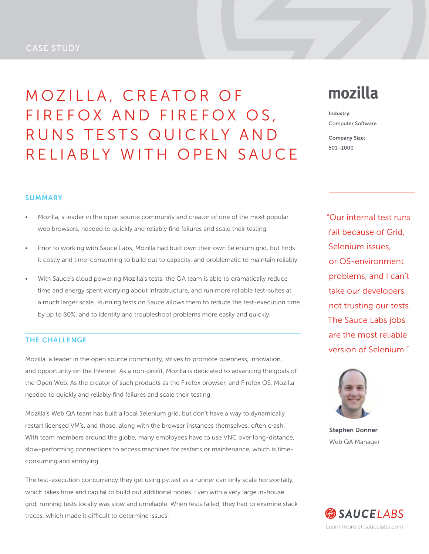## CASE STUDY

MOZILLA, CREATOR OF FIREFOX AND FIREFOX OS, RUNS TESTS QUICKLY AND RELIABLY WITH OPEN SAUCE

# mozilla

Industry: Computer Software

Company Size: 501–1000

#### **SUMMARY**

- Mozilla, a leader in the open source community and creator of one of the most popular web browsers, needed to quickly and reliably find failures and scale their testing.
- Prior to working with Sauce Labs, Mozilla had built own their own Selenium grid, but finds it costly and time-consuming to build out to capacity, and problematic to maintain reliably.
- With Sauce's cloud powering Mozilla's tests, the QA team is able to dramatically reduce time and energy spent worrying about infrastructure, and run more reliable test-suites at a much larger scale. Running tests on Sauce allows them to reduce the test-execution time by up to 80%, and to identity and troubleshoot problems more easily and quickly.

## THE CHALLENGE

Mozilla, a leader in the open source community, strives to promote openness, innovation, and opportunity on the Internet. As a non-profit, Mozilla is dedicated to advancing the goals of the Open Web. As the creator of such products as the Firefox browser, and Firefox OS, Mozilla needed to quickly and reliably find failures and scale their testing.

Mozilla's Web QA team has built a local Selenium grid, but don't have a way to dynamically restart licensed VM's, and those, along with the browser instances themselves, often crash. With team members around the globe, many employees have to use VNC over long-distance, slow-performing connections to access machines for restarts or maintenance, which is timeconsuming and annoying.

The test-execution concurrency they get using py.test as a runner can only scale horizontally, which takes time and capital to build out additional nodes. Even with a very large in-house grid, running tests locally was slow and unreliable. When tests failed, they had to examine stack traces, which made it difficult to determine issues.

"Our internal test runs fail because of Grid, Selenium issues, or OS-environment problems, and I can't take our developers not trusting our tests. The Sauce Labs jobs are the most reliable version of Selenium."



Stephen Donner Web QA Manager